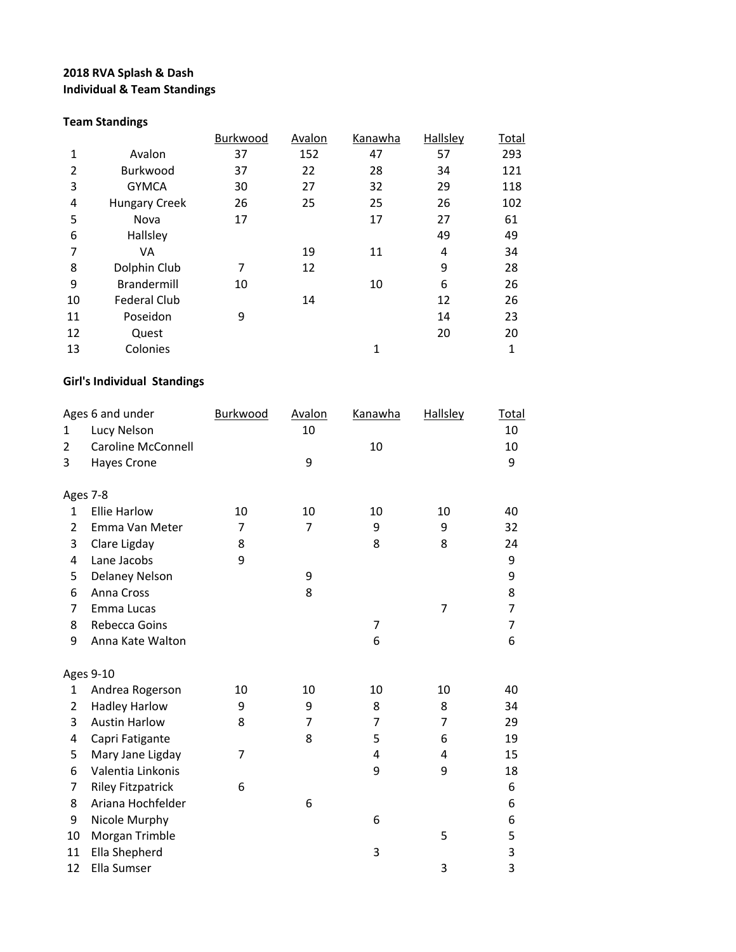## **2018 RVA Splash & Dash Individual & Team Standings**

## **Team Standings**

|    |                      | Burkwood | Avalon | Kanawha | Hallsley | <u>Total</u> |
|----|----------------------|----------|--------|---------|----------|--------------|
| 1  | Avalon               | 37       | 152    | 47      | 57       | 293          |
| 2  | Burkwood             | 37       | 22     | 28      | 34       | 121          |
| 3  | <b>GYMCA</b>         | 30       | 27     | 32      | 29       | 118          |
| 4  | <b>Hungary Creek</b> | 26       | 25     | 25      | 26       | 102          |
| 5  | Nova                 | 17       |        | 17      | 27       | 61           |
| 6  | Hallsley             |          |        |         | 49       | 49           |
| 7  | VA                   |          | 19     | 11      | 4        | 34           |
| 8  | Dolphin Club         | 7        | 12     |         | 9        | 28           |
| 9  | <b>Brandermill</b>   | 10       |        | 10      | 6        | 26           |
| 10 | <b>Federal Club</b>  |          | 14     |         | 12       | 26           |
| 11 | Poseidon             | 9        |        |         | 14       | 23           |
| 12 | Quest                |          |        |         | 20       | 20           |
| 13 | Colonies             |          |        | 1       |          | 1            |
|    |                      |          |        |         |          |              |

## **Girl's Individual Standings**

|                | Ages 6 and under          | Burkwood       | <b>Avalon</b>  | <b>Kanawha</b> | <b>Hallsley</b> | <b>Total</b>   |
|----------------|---------------------------|----------------|----------------|----------------|-----------------|----------------|
| 1              | Lucy Nelson               |                | 10             |                |                 | 10             |
| $\overline{2}$ | <b>Caroline McConnell</b> |                |                | 10             |                 | 10             |
| 3              | <b>Hayes Crone</b>        |                | 9              |                |                 | 9              |
|                | Ages 7-8                  |                |                |                |                 |                |
| $\mathbf{1}$   | <b>Ellie Harlow</b>       | 10             | 10             | 10             | 10              | 40             |
| $\overline{2}$ | Emma Van Meter            | 7              | $\overline{7}$ | 9              | 9               | 32             |
| 3              | Clare Ligday              | 8              |                | 8              | 8               | 24             |
| 4              | Lane Jacobs               | 9              |                |                |                 | 9              |
| 5              | Delaney Nelson            |                | 9              |                |                 | 9              |
| 6              | Anna Cross                |                | 8              |                |                 | 8              |
| 7              | Emma Lucas                |                |                |                | 7               | $\overline{7}$ |
| 8              | Rebecca Goins             |                |                | 7              |                 | 7              |
| 9              | Anna Kate Walton          |                |                | 6              |                 | 6              |
|                | <b>Ages 9-10</b>          |                |                |                |                 |                |
| 1              | Andrea Rogerson           | 10             | 10             | 10             | 10              | 40             |
| 2              | <b>Hadley Harlow</b>      | 9              | 9              | 8              | 8               | 34             |
| 3              | <b>Austin Harlow</b>      | 8              | 7              | 7              | 7               | 29             |
| 4              | Capri Fatigante           |                | 8              | 5              | 6               | 19             |
| 5              | Mary Jane Ligday          | $\overline{7}$ |                | 4              | 4               | 15             |
| 6              | Valentia Linkonis         |                |                | 9              | 9               | 18             |
| 7              | <b>Riley Fitzpatrick</b>  | 6              |                |                |                 | 6              |
| 8              | Ariana Hochfelder         |                | 6              |                |                 | 6              |
| 9              | Nicole Murphy             |                |                | 6              |                 | 6              |
| 10             | Morgan Trimble            |                |                |                | 5               | 5              |
| 11             | Ella Shepherd             |                |                | 3              |                 | 3              |
| 12             | Ella Sumser               |                |                |                | 3               | 3              |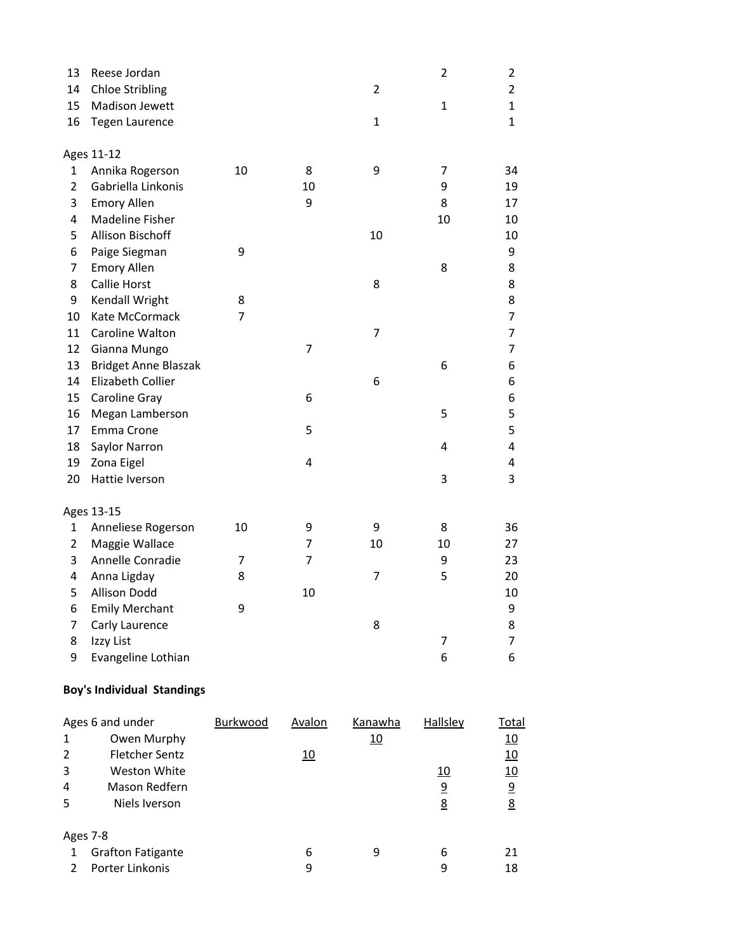| 13             | Reese Jordan                      |          |               |                | $\overline{2}$        | 2                       |
|----------------|-----------------------------------|----------|---------------|----------------|-----------------------|-------------------------|
| 14             | <b>Chloe Stribling</b>            |          |               | $\overline{2}$ |                       | $\overline{2}$          |
| 15             | Madison Jewett                    |          |               |                | $\mathbf{1}$          | $\mathbf{1}$            |
| 16             | <b>Tegen Laurence</b>             |          |               | $\mathbf{1}$   |                       | $\mathbf{1}$            |
|                |                                   |          |               |                |                       |                         |
|                | Ages 11-12                        |          |               |                |                       |                         |
| $\mathbf{1}$   | Annika Rogerson                   | 10       | 8             | 9              | 7                     | 34                      |
| 2              | Gabriella Linkonis                |          | 10            |                | 9                     | 19                      |
| 3              | <b>Emory Allen</b>                |          | 9             |                | 8                     | 17                      |
| 4              | Madeline Fisher                   |          |               |                | 10                    | 10                      |
| 5              | Allison Bischoff                  |          |               | 10             |                       | 10                      |
| 6              | Paige Siegman                     | 9        |               |                |                       | 9                       |
| 7              | <b>Emory Allen</b>                |          |               |                | 8                     | 8                       |
| 8              | <b>Callie Horst</b>               |          |               | 8              |                       | 8                       |
| 9              | Kendall Wright                    | 8        |               |                |                       | 8                       |
| 10             | Kate McCormack                    | 7        |               |                |                       | 7                       |
| 11             | Caroline Walton                   |          |               | 7              |                       | 7                       |
| 12             | Gianna Mungo                      |          | 7             |                |                       | 7                       |
| 13             | <b>Bridget Anne Blaszak</b>       |          |               |                | 6                     | 6                       |
| 14             | Elizabeth Collier                 |          |               | 6              |                       | 6                       |
| 15             | Caroline Gray                     |          | 6             |                |                       | 6                       |
| 16             | Megan Lamberson                   |          |               |                | 5                     | 5                       |
| 17             | Emma Crone                        |          | 5             |                |                       | 5                       |
| 18             | Saylor Narron                     |          |               |                | 4                     | 4                       |
| 19             | Zona Eigel                        |          | 4             |                |                       | 4                       |
| 20             | Hattie Iverson                    |          |               |                | 3                     | 3                       |
|                | Ages 13-15                        |          |               |                |                       |                         |
| 1              | Anneliese Rogerson                | 10       | 9             | 9              | 8                     | 36                      |
| $\overline{2}$ | Maggie Wallace                    |          | 7             | 10             | 10                    | 27                      |
| 3              | Annelle Conradie                  | 7        | 7             |                | 9                     | 23                      |
| 4              | Anna Ligday                       | 8        |               | 7              | 5                     | 20                      |
| 5              | <b>Allison Dodd</b>               |          | 10            |                |                       | 10                      |
| 6              | <b>Emily Merchant</b>             | 9        |               |                |                       | 9                       |
| 7              | Carly Laurence                    |          |               | 8              |                       | 8                       |
| 8              | Izzy List                         |          |               |                | 7                     | 7                       |
| 9              | Evangeline Lothian                |          |               |                | 6                     | 6                       |
|                | <b>Boy's Individual Standings</b> |          |               |                |                       |                         |
|                | Ages 6 and under                  | Burkwood | <b>Avalon</b> | <b>Kanawha</b> | <b>Hallsley</b>       | <b>Total</b>            |
| $\mathbf{1}$   | Owen Murphy                       |          |               | 10             |                       | <u>10</u>               |
| $\overline{2}$ | <b>Fletcher Sentz</b>             |          | 10            |                |                       | 10                      |
| 3              | Weston White                      |          |               |                | 10                    | 10                      |
| 4              | Mason Redfern                     |          |               |                | $\overline{\partial}$ | $\overline{\mathbf{S}}$ |
| 5              | Niels Iverson                     |          |               |                | <u>8</u>              | <u>8</u>                |

| Ages 7-8            |   |   |    |
|---------------------|---|---|----|
| 1 Grafton Fatigante | h | h |    |
| 2 Porter Linkonis   |   |   | 18 |

Niels Iverson 8 8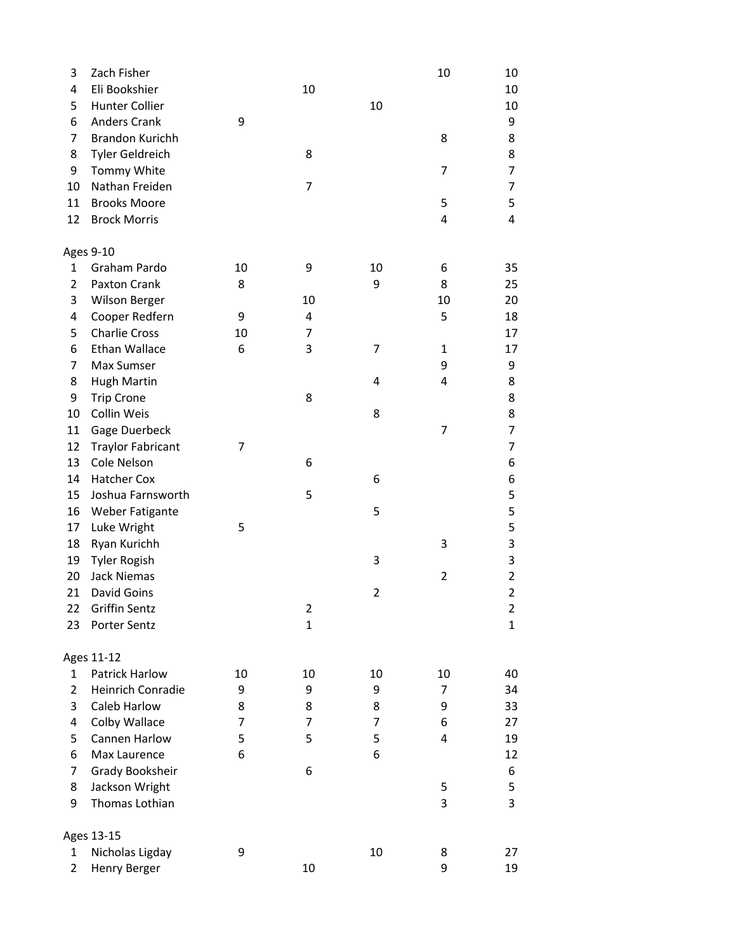| 3              | Zach Fisher                          |    |                  |                | 10 | 10                      |
|----------------|--------------------------------------|----|------------------|----------------|----|-------------------------|
| 4              | Eli Bookshier                        |    | 10               |                |    | 10                      |
| 5              | <b>Hunter Collier</b>                |    |                  | 10             |    | 10                      |
| 6              | <b>Anders Crank</b>                  | 9  |                  |                |    | 9                       |
| 7              | <b>Brandon Kurichh</b>               |    |                  |                | 8  | 8                       |
| 8              | Tyler Geldreich                      |    | 8                |                |    | 8                       |
| 9              | Tommy White                          |    |                  |                | 7  | 7                       |
| 10             | Nathan Freiden                       |    | 7                |                |    | 7                       |
| 11             | <b>Brooks Moore</b>                  |    |                  |                | 5  | 5                       |
| 12             | <b>Brock Morris</b>                  |    |                  |                | 4  | 4                       |
|                | Ages 9-10                            |    |                  |                |    |                         |
| 1              | Graham Pardo                         | 10 | 9                | 10             | 6  | 35                      |
| $\overline{2}$ | Paxton Crank                         | 8  |                  | 9              | 8  | 25                      |
| 3              | <b>Wilson Berger</b>                 |    | 10               |                | 10 | 20                      |
| 4              | Cooper Redfern                       | 9  | 4                |                | 5  | 18                      |
| 5              | <b>Charlie Cross</b>                 | 10 | 7                |                |    | 17                      |
| 6              | Ethan Wallace                        | 6  | 3                | 7              | 1  | 17                      |
| 7              | Max Sumser                           |    |                  |                | 9  | 9                       |
| 8              | <b>Hugh Martin</b>                   |    |                  | 4              | 4  | 8                       |
| 9              | <b>Trip Crone</b>                    |    | 8                |                |    | 8                       |
| 10             | Collin Weis                          |    |                  | 8              |    | 8                       |
| 11             | Gage Duerbeck                        |    |                  |                | 7  | 7                       |
| 12             | <b>Traylor Fabricant</b>             | 7  |                  |                |    | 7                       |
| 13             | Cole Nelson                          |    | 6                |                |    | 6                       |
| 14             | Hatcher Cox                          |    |                  | 6              |    | 6                       |
| 15             | Joshua Farnsworth                    |    | 5                |                |    | 5                       |
| 16             | Weber Fatigante                      |    |                  | 5              |    | 5                       |
| 17             | Luke Wright                          | 5  |                  |                |    | 5                       |
| 18             | Ryan Kurichh                         |    |                  |                | 3  | 3                       |
| 19             | <b>Tyler Rogish</b>                  |    |                  | 3              |    | 3                       |
| 20             | <b>Jack Niemas</b>                   |    |                  |                | 2  | $\overline{\mathbf{c}}$ |
| 21             | David Goins                          |    |                  | $\overline{2}$ |    | $\overline{2}$          |
|                |                                      |    |                  |                |    |                         |
| 22<br>23       | <b>Griffin Sentz</b><br>Porter Sentz |    | 2<br>$\mathbf 1$ |                |    | 2<br>$\mathbf{1}$       |
|                | Ages 11-12                           |    |                  |                |    |                         |
| $\mathbf{1}$   | Patrick Harlow                       | 10 | 10               | 10             | 10 | 40                      |
| $\overline{2}$ | Heinrich Conradie                    | 9  | 9                | 9              | 7  | 34                      |
| 3              | Caleb Harlow                         | 8  | 8                | 8              | 9  | 33                      |
| 4              | Colby Wallace                        | 7  | 7                | 7              | 6  | 27                      |
|                | Cannen Harlow                        | 5  | 5                | 5              | 4  |                         |
| 5              |                                      |    |                  |                |    | 19                      |
| 6              | Max Laurence                         | 6  |                  | 6              |    | 12                      |
| 7              | Grady Booksheir                      |    | 6                |                |    | 6                       |
| 8              | Jackson Wright                       |    |                  |                | 5  | 5                       |
| 9              | Thomas Lothian                       |    |                  |                | 3  | 3                       |
|                | Ages 13-15                           |    |                  |                |    |                         |
| 1              | Nicholas Ligday                      | 9  |                  | 10             | 8  | 27                      |
| $\overline{2}$ | Henry Berger                         |    | 10               |                | 9  | 19                      |